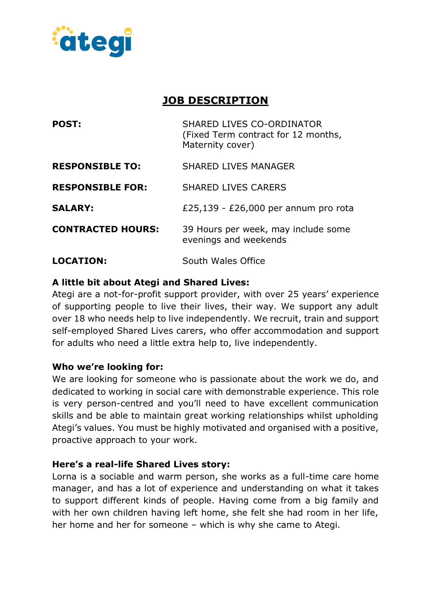

# **JOB DESCRIPTION**

| <b>POST:</b>             | <b>SHARED LIVES CO-ORDINATOR</b><br>(Fixed Term contract for 12 months,<br>Maternity cover) |
|--------------------------|---------------------------------------------------------------------------------------------|
| <b>RESPONSIBLE TO:</b>   | <b>SHARED LIVES MANAGER</b>                                                                 |
| <b>RESPONSIBLE FOR:</b>  | <b>SHARED LIVES CARERS</b>                                                                  |
| <b>SALARY:</b>           | £25,139 - £26,000 per annum pro rota                                                        |
| <b>CONTRACTED HOURS:</b> | 39 Hours per week, may include some<br>evenings and weekends                                |
| <b>LOCATION:</b>         | South Wales Office                                                                          |

# **A little bit about Ategi and Shared Lives:**

Ategi are a not-for-profit support provider, with over 25 years' experience of supporting people to live their lives, their way. We support any adult over 18 who needs help to live independently. We recruit, train and support self-employed Shared Lives carers, who offer accommodation and support for adults who need a little extra help to, live independently.

### **Who we're looking for:**

We are looking for someone who is passionate about the work we do, and dedicated to working in social care with demonstrable experience. This role is very person-centred and you'll need to have excellent communication skills and be able to maintain great working relationships whilst upholding Ategi's values. You must be highly motivated and organised with a positive, proactive approach to your work.

### **Here's a real-life Shared Lives story:**

Lorna is a sociable and warm person, she works as a full-time care home manager, and has a lot of experience and understanding on what it takes to support different kinds of people. Having come from a big family and with her own children having left home, she felt she had room in her life, her home and her for someone – which is why she came to Ategi.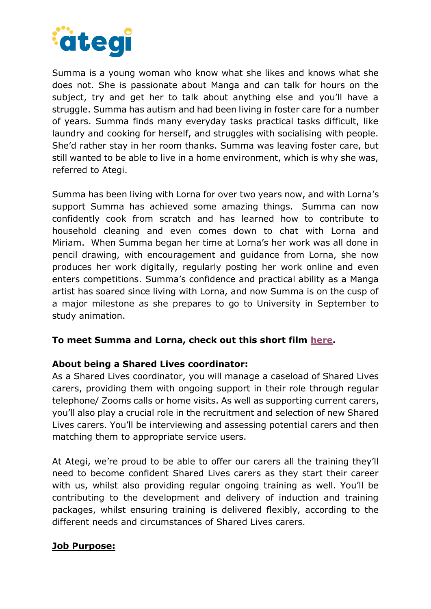

Summa is a young woman who know what she likes and knows what she does not. She is passionate about Manga and can talk for hours on the subject, try and get her to talk about anything else and you'll have a struggle. Summa has autism and had been living in foster care for a number of years. Summa finds many everyday tasks practical tasks difficult, like laundry and cooking for herself, and struggles with socialising with people. She'd rather stay in her room thanks. Summa was leaving foster care, but still wanted to be able to live in a home environment, which is why she was, referred to Ategi.

Summa has been living with Lorna for over two years now, and with Lorna's support Summa has achieved some amazing things. Summa can now confidently cook from scratch and has learned how to contribute to household cleaning and even comes down to chat with Lorna and Miriam. When Summa began her time at Lorna's her work was all done in pencil drawing, with encouragement and guidance from Lorna, she now produces her work digitally, regularly posting her work online and even enters competitions. Summa's confidence and practical ability as a Manga artist has soared since living with Lorna, and now Summa is on the cusp of a major milestone as she prepares to go to University in September to study animation.

#### **To meet Summa and Lorna, check out this short film [here.](https://www.youtube.com/watch?v=hqrtpucKpZ0)**

#### **About being a Shared Lives coordinator:**

As a Shared Lives coordinator, you will manage a caseload of Shared Lives carers, providing them with ongoing support in their role through regular telephone/ Zooms calls or home visits. As well as supporting current carers, you'll also play a crucial role in the recruitment and selection of new Shared Lives carers. You'll be interviewing and assessing potential carers and then matching them to appropriate service users.

At Ategi, we're proud to be able to offer our carers all the training they'll need to become confident Shared Lives carers as they start their career with us, whilst also providing regular ongoing training as well. You'll be contributing to the development and delivery of induction and training packages, whilst ensuring training is delivered flexibly, according to the different needs and circumstances of Shared Lives carers.

#### **Job Purpose:**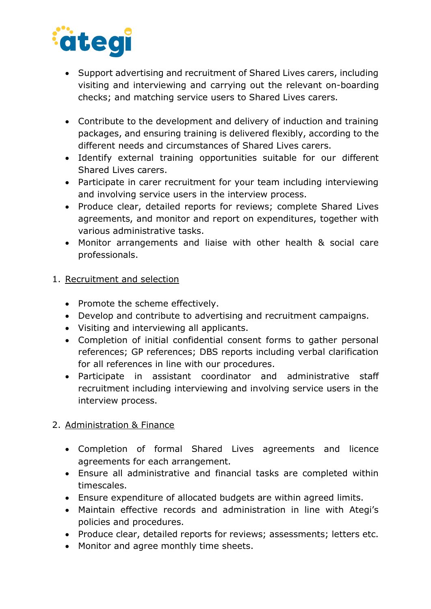

- Support advertising and recruitment of Shared Lives carers, including visiting and interviewing and carrying out the relevant on-boarding checks; and matching service users to Shared Lives carers.
- Contribute to the development and delivery of induction and training packages, and ensuring training is delivered flexibly, according to the different needs and circumstances of Shared Lives carers.
- Identify external training opportunities suitable for our different Shared Lives carers.
- Participate in carer recruitment for your team including interviewing and involving service users in the interview process.
- Produce clear, detailed reports for reviews; complete Shared Lives agreements, and monitor and report on expenditures, together with various administrative tasks.
- Monitor arrangements and liaise with other health & social care professionals.

### 1. Recruitment and selection

- Promote the scheme effectively.
- Develop and contribute to advertising and recruitment campaigns.
- Visiting and interviewing all applicants.
- Completion of initial confidential consent forms to gather personal references; GP references; DBS reports including verbal clarification for all references in line with our procedures.
- Participate in assistant coordinator and administrative staff recruitment including interviewing and involving service users in the interview process.

# 2. Administration & Finance

- Completion of formal Shared Lives agreements and licence agreements for each arrangement.
- Ensure all administrative and financial tasks are completed within timescales.
- Ensure expenditure of allocated budgets are within agreed limits.
- Maintain effective records and administration in line with Ategi's policies and procedures.
- Produce clear, detailed reports for reviews; assessments; letters etc.
- Monitor and agree monthly time sheets.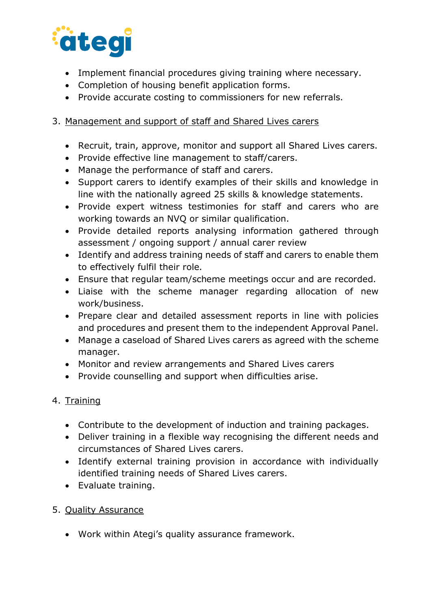

- Implement financial procedures giving training where necessary.
- Completion of housing benefit application forms.
- Provide accurate costing to commissioners for new referrals.

# 3. Management and support of staff and Shared Lives carers

- Recruit, train, approve, monitor and support all Shared Lives carers.
- Provide effective line management to staff/carers.
- Manage the performance of staff and carers.
- Support carers to identify examples of their skills and knowledge in line with the nationally agreed 25 skills & knowledge statements.
- Provide expert witness testimonies for staff and carers who are working towards an NVQ or similar qualification.
- Provide detailed reports analysing information gathered through assessment / ongoing support / annual carer review
- Identify and address training needs of staff and carers to enable them to effectively fulfil their role.
- Ensure that regular team/scheme meetings occur and are recorded.
- Liaise with the scheme manager regarding allocation of new work/business.
- Prepare clear and detailed assessment reports in line with policies and procedures and present them to the independent Approval Panel.
- Manage a caseload of Shared Lives carers as agreed with the scheme manager.
- Monitor and review arrangements and Shared Lives carers
- Provide counselling and support when difficulties arise.

### 4. Training

- Contribute to the development of induction and training packages.
- Deliver training in a flexible way recognising the different needs and circumstances of Shared Lives carers.
- Identify external training provision in accordance with individually identified training needs of Shared Lives carers.
- Evaluate training.
- 5. Quality Assurance
	- Work within Ategi's quality assurance framework.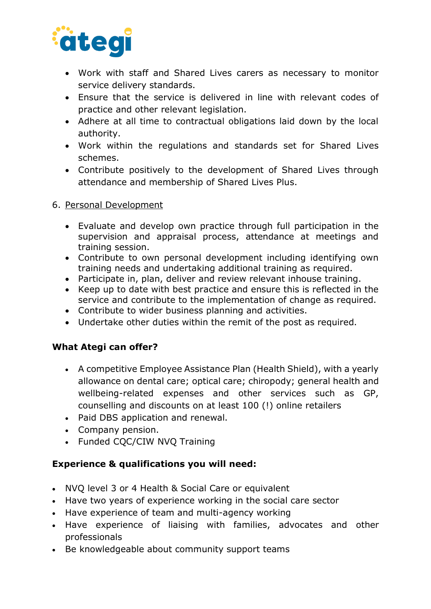

- Work with staff and Shared Lives carers as necessary to monitor service delivery standards.
- Ensure that the service is delivered in line with relevant codes of practice and other relevant legislation.
- Adhere at all time to contractual obligations laid down by the local authority.
- Work within the regulations and standards set for Shared Lives schemes.
- Contribute positively to the development of Shared Lives through attendance and membership of Shared Lives Plus.

#### 6. Personal Development

- Evaluate and develop own practice through full participation in the supervision and appraisal process, attendance at meetings and training session.
- Contribute to own personal development including identifying own training needs and undertaking additional training as required.
- Participate in, plan, deliver and review relevant inhouse training.
- Keep up to date with best practice and ensure this is reflected in the service and contribute to the implementation of change as required.
- Contribute to wider business planning and activities.
- Undertake other duties within the remit of the post as required.

### **What Ategi can offer?**

- A competitive Employee Assistance Plan (Health Shield), with a yearly allowance on dental care; optical care; chiropody; general health and wellbeing-related expenses and other services such as GP, counselling and discounts on at least 100 (!) online retailers
- Paid DBS application and renewal.
- Company pension.
- Funded COC/CIW NVO Training

# **Experience & qualifications you will need:**

- NVQ level 3 or 4 Health & Social Care or equivalent
- Have two years of experience working in the social care sector
- Have experience of team and multi-agency working
- Have experience of liaising with families, advocates and other professionals
- Be knowledgeable about community support teams